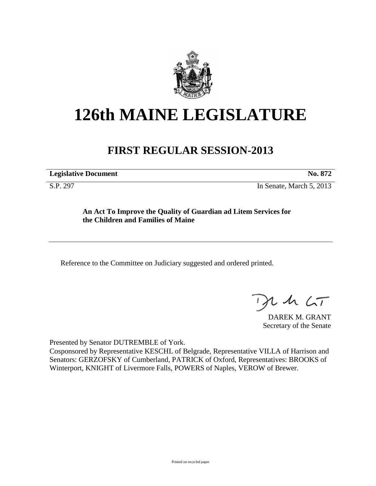

## **126th MAINE LEGISLATURE**

## **FIRST REGULAR SESSION-2013**

**Legislative Document No. 872**

S.P. 297 In Senate, March 5, 2013

**An Act To Improve the Quality of Guardian ad Litem Services for the Children and Families of Maine**

Reference to the Committee on Judiciary suggested and ordered printed.

 $1157$ 

DAREK M. GRANT Secretary of the Senate

Presented by Senator DUTREMBLE of York.

Cosponsored by Representative KESCHL of Belgrade, Representative VILLA of Harrison and Senators: GERZOFSKY of Cumberland, PATRICK of Oxford, Representatives: BROOKS of Winterport, KNIGHT of Livermore Falls, POWERS of Naples, VEROW of Brewer.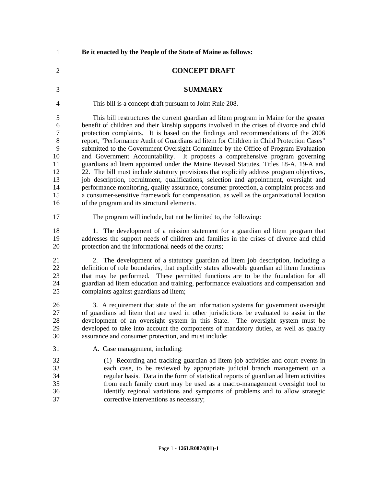| $\mathbf{1}$                                                                       | Be it enacted by the People of the State of Maine as follows:                                                                                                                                                                                                                                                                                                                                                                                                                                                                                                                                                                                                                                                                                                                                                                                                                                                                                                                                                                                                     |
|------------------------------------------------------------------------------------|-------------------------------------------------------------------------------------------------------------------------------------------------------------------------------------------------------------------------------------------------------------------------------------------------------------------------------------------------------------------------------------------------------------------------------------------------------------------------------------------------------------------------------------------------------------------------------------------------------------------------------------------------------------------------------------------------------------------------------------------------------------------------------------------------------------------------------------------------------------------------------------------------------------------------------------------------------------------------------------------------------------------------------------------------------------------|
| $\overline{2}$                                                                     | <b>CONCEPT DRAFT</b>                                                                                                                                                                                                                                                                                                                                                                                                                                                                                                                                                                                                                                                                                                                                                                                                                                                                                                                                                                                                                                              |
| 3                                                                                  | <b>SUMMARY</b>                                                                                                                                                                                                                                                                                                                                                                                                                                                                                                                                                                                                                                                                                                                                                                                                                                                                                                                                                                                                                                                    |
| 4                                                                                  | This bill is a concept draft pursuant to Joint Rule 208.                                                                                                                                                                                                                                                                                                                                                                                                                                                                                                                                                                                                                                                                                                                                                                                                                                                                                                                                                                                                          |
| 5<br>6<br>$\boldsymbol{7}$<br>$8\,$<br>9<br>10<br>11<br>12<br>13<br>14<br>15<br>16 | This bill restructures the current guardian ad litem program in Maine for the greater<br>benefit of children and their kinship supports involved in the crises of divorce and child<br>protection complaints. It is based on the findings and recommendations of the 2006<br>report, "Performance Audit of Guardians ad litem for Children in Child Protection Cases"<br>submitted to the Government Oversight Committee by the Office of Program Evaluation<br>and Government Accountability. It proposes a comprehensive program governing<br>guardians ad litem appointed under the Maine Revised Statutes, Titles 18-A, 19-A and<br>22. The bill must include statutory provisions that explicitly address program objectives,<br>job description, recruitment, qualifications, selection and appointment, oversight and<br>performance monitoring, quality assurance, consumer protection, a complaint process and<br>a consumer-sensitive framework for compensation, as well as the organizational location<br>of the program and its structural elements. |
| 17                                                                                 | The program will include, but not be limited to, the following:                                                                                                                                                                                                                                                                                                                                                                                                                                                                                                                                                                                                                                                                                                                                                                                                                                                                                                                                                                                                   |
| 18<br>19<br>20                                                                     | 1. The development of a mission statement for a guardian ad litem program that<br>addresses the support needs of children and families in the crises of divorce and child<br>protection and the informational needs of the courts;                                                                                                                                                                                                                                                                                                                                                                                                                                                                                                                                                                                                                                                                                                                                                                                                                                |
| 21<br>22<br>23<br>24<br>25                                                         | 2. The development of a statutory guardian ad litem job description, including a<br>definition of role boundaries, that explicitly states allowable guardian ad litem functions<br>that may be performed. These permitted functions are to be the foundation for all<br>guardian ad litem education and training, performance evaluations and compensation and<br>complaints against guardians ad litem;                                                                                                                                                                                                                                                                                                                                                                                                                                                                                                                                                                                                                                                          |
| 26<br>27<br>28<br>29<br>30                                                         | 3. A requirement that state of the art information systems for government oversight<br>of guardians ad litem that are used in other jurisdictions be evaluated to assist in the<br>development of an oversight system in this State. The oversight system must be<br>developed to take into account the components of mandatory duties, as well as quality<br>assurance and consumer protection, and must include:                                                                                                                                                                                                                                                                                                                                                                                                                                                                                                                                                                                                                                                |
| 31                                                                                 | A. Case management, including:                                                                                                                                                                                                                                                                                                                                                                                                                                                                                                                                                                                                                                                                                                                                                                                                                                                                                                                                                                                                                                    |
| 32<br>33<br>34<br>35<br>36<br>37                                                   | (1) Recording and tracking guardian ad litem job activities and court events in<br>each case, to be reviewed by appropriate judicial branch management on a<br>regular basis. Data in the form of statistical reports of guardian ad litem activities<br>from each family court may be used as a macro-management oversight tool to<br>identify regional variations and symptoms of problems and to allow strategic<br>corrective interventions as necessary;                                                                                                                                                                                                                                                                                                                                                                                                                                                                                                                                                                                                     |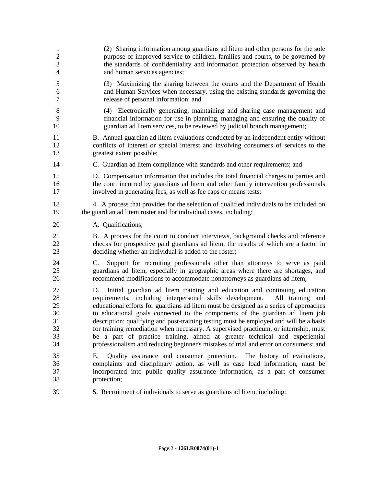| $\mathbf{1}$                                 | (2) Sharing information among guardians ad litem and other persons for the sole                                                                                                                                                                                                                                                                                                                                                                                                                                                                                                                                                                                                                      |
|----------------------------------------------|------------------------------------------------------------------------------------------------------------------------------------------------------------------------------------------------------------------------------------------------------------------------------------------------------------------------------------------------------------------------------------------------------------------------------------------------------------------------------------------------------------------------------------------------------------------------------------------------------------------------------------------------------------------------------------------------------|
| $\overline{c}$                               | purpose of improved service to children, families and courts, to be governed by                                                                                                                                                                                                                                                                                                                                                                                                                                                                                                                                                                                                                      |
| 3                                            | the standards of confidentiality and information protection observed by health                                                                                                                                                                                                                                                                                                                                                                                                                                                                                                                                                                                                                       |
| $\overline{4}$                               | and human services agencies;                                                                                                                                                                                                                                                                                                                                                                                                                                                                                                                                                                                                                                                                         |
| $\mathfrak s$                                | (3) Maximizing the sharing between the courts and the Department of Health                                                                                                                                                                                                                                                                                                                                                                                                                                                                                                                                                                                                                           |
| 6                                            | and Human Services when necessary, using the existing standards governing the                                                                                                                                                                                                                                                                                                                                                                                                                                                                                                                                                                                                                        |
| 7                                            | release of personal information; and                                                                                                                                                                                                                                                                                                                                                                                                                                                                                                                                                                                                                                                                 |
| $8\,$                                        | (4) Electronically generating, maintaining and sharing case management and                                                                                                                                                                                                                                                                                                                                                                                                                                                                                                                                                                                                                           |
| 9                                            | financial information for use in planning, managing and ensuring the quality of                                                                                                                                                                                                                                                                                                                                                                                                                                                                                                                                                                                                                      |
| 10                                           | guardian ad litem services, to be reviewed by judicial branch management;                                                                                                                                                                                                                                                                                                                                                                                                                                                                                                                                                                                                                            |
| 11                                           | B. Annual guardian ad litem evaluations conducted by an independent entity without                                                                                                                                                                                                                                                                                                                                                                                                                                                                                                                                                                                                                   |
| 12                                           | conflicts of interest or special interest and involving consumers of services to the                                                                                                                                                                                                                                                                                                                                                                                                                                                                                                                                                                                                                 |
| 13                                           | greatest extent possible;                                                                                                                                                                                                                                                                                                                                                                                                                                                                                                                                                                                                                                                                            |
| 14                                           | C. Guardian ad litem compliance with standards and other requirements; and                                                                                                                                                                                                                                                                                                                                                                                                                                                                                                                                                                                                                           |
| 15                                           | D. Compensation information that includes the total financial charges to parties and                                                                                                                                                                                                                                                                                                                                                                                                                                                                                                                                                                                                                 |
| 16                                           | the court incurred by guardians ad litem and other family intervention professionals                                                                                                                                                                                                                                                                                                                                                                                                                                                                                                                                                                                                                 |
| 17                                           | involved in generating fees, as well as fee caps or means tests;                                                                                                                                                                                                                                                                                                                                                                                                                                                                                                                                                                                                                                     |
| 18                                           | 4. A process that provides for the selection of qualified individuals to be included on                                                                                                                                                                                                                                                                                                                                                                                                                                                                                                                                                                                                              |
| 19                                           | the guardian ad litem roster and for individual cases, including:                                                                                                                                                                                                                                                                                                                                                                                                                                                                                                                                                                                                                                    |
| 20                                           | A. Qualifications;                                                                                                                                                                                                                                                                                                                                                                                                                                                                                                                                                                                                                                                                                   |
| 21                                           | B. A process for the court to conduct interviews, background checks and reference                                                                                                                                                                                                                                                                                                                                                                                                                                                                                                                                                                                                                    |
| 22                                           | checks for prospective paid guardians ad litem, the results of which are a factor in                                                                                                                                                                                                                                                                                                                                                                                                                                                                                                                                                                                                                 |
| 23                                           | deciding whether an individual is added to the roster;                                                                                                                                                                                                                                                                                                                                                                                                                                                                                                                                                                                                                                               |
| 24<br>25<br>26                               | Support for recruiting professionals other than attorneys to serve as paid<br>C.<br>guardians ad litem, especially in geographic areas where there are shortages, and<br>recommend modifications to accommodate nonattorneys as guardians ad litem;                                                                                                                                                                                                                                                                                                                                                                                                                                                  |
| 27<br>28<br>29<br>30<br>31<br>32<br>33<br>34 | Initial guardian ad litem training and education and continuing education<br>D.<br>requirements, including interpersonal skills development.<br>All training and<br>educational efforts for guardians ad litem must be designed as a series of approaches<br>to educational goals connected to the components of the guardian ad litem job<br>description; qualifying and post-training testing must be employed and will be a basis<br>for training remediation when necessary. A supervised practicum, or internship, must<br>be a part of practice training, aimed at greater technical and experiential<br>professionalism and reducing beginner's mistakes of trial and error on consumers; and |
| 35<br>36<br>37<br>38                         | Quality assurance and consumer protection. The history of evaluations,<br>Е.<br>complaints and disciplinary action, as well as case load information, must be<br>incorporated into public quality assurance information, as a part of consumer<br>protection;                                                                                                                                                                                                                                                                                                                                                                                                                                        |
| 39                                           | 5. Recruitment of individuals to serve as guardians ad litem, including:                                                                                                                                                                                                                                                                                                                                                                                                                                                                                                                                                                                                                             |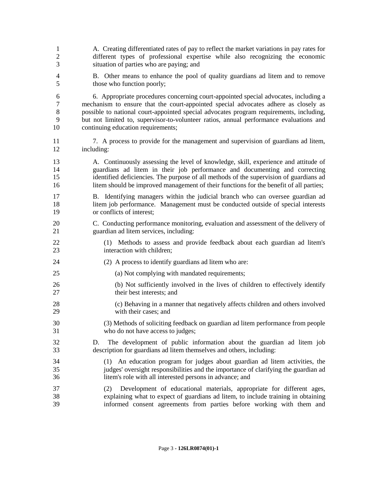| $\mathbf{1}$   | A. Creating differentiated rates of pay to reflect the market variations in pay rates for                                                                                                                                                  |
|----------------|--------------------------------------------------------------------------------------------------------------------------------------------------------------------------------------------------------------------------------------------|
| $\mathbf{2}$   | different types of professional expertise while also recognizing the economic                                                                                                                                                              |
| 3              | situation of parties who are paying; and                                                                                                                                                                                                   |
| $\overline{4}$ | B. Other means to enhance the pool of quality guardians ad litem and to remove                                                                                                                                                             |
| 5              | those who function poorly;                                                                                                                                                                                                                 |
| 6              | 6. Appropriate procedures concerning court-appointed special advocates, including a                                                                                                                                                        |
| $\tau$         | mechanism to ensure that the court-appointed special advocates adhere as closely as                                                                                                                                                        |
| $8\,$          | possible to national court-appointed special advocates program requirements, including,                                                                                                                                                    |
| 9              | but not limited to, supervisor-to-volunteer ratios, annual performance evaluations and                                                                                                                                                     |
| 10             | continuing education requirements;                                                                                                                                                                                                         |
| 11             | 7. A process to provide for the management and supervision of guardians ad litem,                                                                                                                                                          |
| 12             | including:                                                                                                                                                                                                                                 |
| 13             | A. Continuously assessing the level of knowledge, skill, experience and attitude of                                                                                                                                                        |
| 14             | guardians ad litem in their job performance and documenting and correcting                                                                                                                                                                 |
| 15             | identified deficiencies. The purpose of all methods of the supervision of guardians ad                                                                                                                                                     |
| 16             | litem should be improved management of their functions for the benefit of all parties;                                                                                                                                                     |
| 17             | B. Identifying managers within the judicial branch who can oversee guardian ad                                                                                                                                                             |
| 18             | litem job performance. Management must be conducted outside of special interests                                                                                                                                                           |
| 19             | or conflicts of interest;                                                                                                                                                                                                                  |
| 20             | C. Conducting performance monitoring, evaluation and assessment of the delivery of                                                                                                                                                         |
| 21             | guardian ad litem services, including:                                                                                                                                                                                                     |
| 22             | (1) Methods to assess and provide feedback about each guardian ad litem's                                                                                                                                                                  |
| 23             | interaction with children;                                                                                                                                                                                                                 |
| 24             | (2) A process to identify guardians ad litem who are:                                                                                                                                                                                      |
| 25             | (a) Not complying with mandated requirements;                                                                                                                                                                                              |
| 26             | (b) Not sufficiently involved in the lives of children to effectively identify                                                                                                                                                             |
| 27             | their best interests; and                                                                                                                                                                                                                  |
| 28             | (c) Behaving in a manner that negatively affects children and others involved                                                                                                                                                              |
| 29             | with their cases; and                                                                                                                                                                                                                      |
| 30             | (3) Methods of soliciting feedback on guardian ad litem performance from people                                                                                                                                                            |
| 31             | who do not have access to judges;                                                                                                                                                                                                          |
| 32<br>33       | The development of public information about the guardian ad litem job<br>D.<br>description for guardians ad litem themselves and others, including:                                                                                        |
| 34             | (1) An education program for judges about guardian ad litem activities, the                                                                                                                                                                |
| 35             | judges' oversight responsibilities and the importance of clarifying the guardian ad                                                                                                                                                        |
| 36             | litem's role with all interested persons in advance; and                                                                                                                                                                                   |
| 37<br>38<br>39 | Development of educational materials, appropriate for different ages,<br>(2)<br>explaining what to expect of guardians ad litem, to include training in obtaining<br>informed consent agreements from parties before working with them and |
|                |                                                                                                                                                                                                                                            |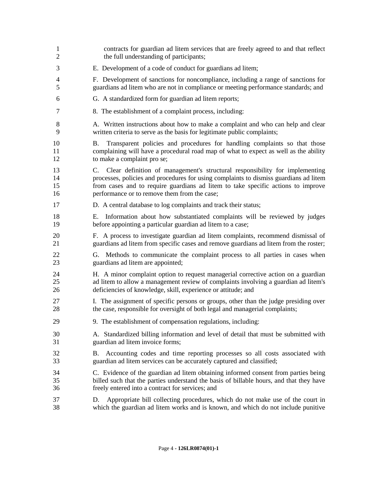contracts for guardian ad litem services that are freely agreed to and that reflect 2 the full understanding of participants; E. Development of a code of conduct for guardians ad litem; F. Development of sanctions for noncompliance, including a range of sanctions for guardians ad litem who are not in compliance or meeting performance standards; and G. A standardized form for guardian ad litem reports; 8. The establishment of a complaint process, including: 8 A. Written instructions about how to make a complaint and who can help and clear written criteria to serve as the basis for legitimate public complaints; B. Transparent policies and procedures for handling complaints so that those complaining will have a procedural road map of what to expect as well as the ability 12 to make a complaint pro se; C. Clear definition of management's structural responsibility for implementing processes, policies and procedures for using complaints to dismiss guardians ad litem from cases and to require guardians ad litem to take specific actions to improve **performance or to remove them from the case;**  D. A central database to log complaints and track their status; E. Information about how substantiated complaints will be reviewed by judges before appointing a particular guardian ad litem to a case; F. A process to investigate guardian ad litem complaints, recommend dismissal of guardians ad litem from specific cases and remove guardians ad litem from the roster; G. Methods to communicate the complaint process to all parties in cases when guardians ad litem are appointed; H. A minor complaint option to request managerial corrective action on a guardian ad litem to allow a management review of complaints involving a guardian ad litem's deficiencies of knowledge, skill, experience or attitude; and I. The assignment of specific persons or groups, other than the judge presiding over the case, responsible for oversight of both legal and managerial complaints; 9. The establishment of compensation regulations, including: A. Standardized billing information and level of detail that must be submitted with guardian ad litem invoice forms; B. Accounting codes and time reporting processes so all costs associated with guardian ad litem services can be accurately captured and classified; C. Evidence of the guardian ad litem obtaining informed consent from parties being billed such that the parties understand the basis of billable hours, and that they have freely entered into a contract for services; and D. Appropriate bill collecting procedures, which do not make use of the court in which the guardian ad litem works and is known, and which do not include punitive